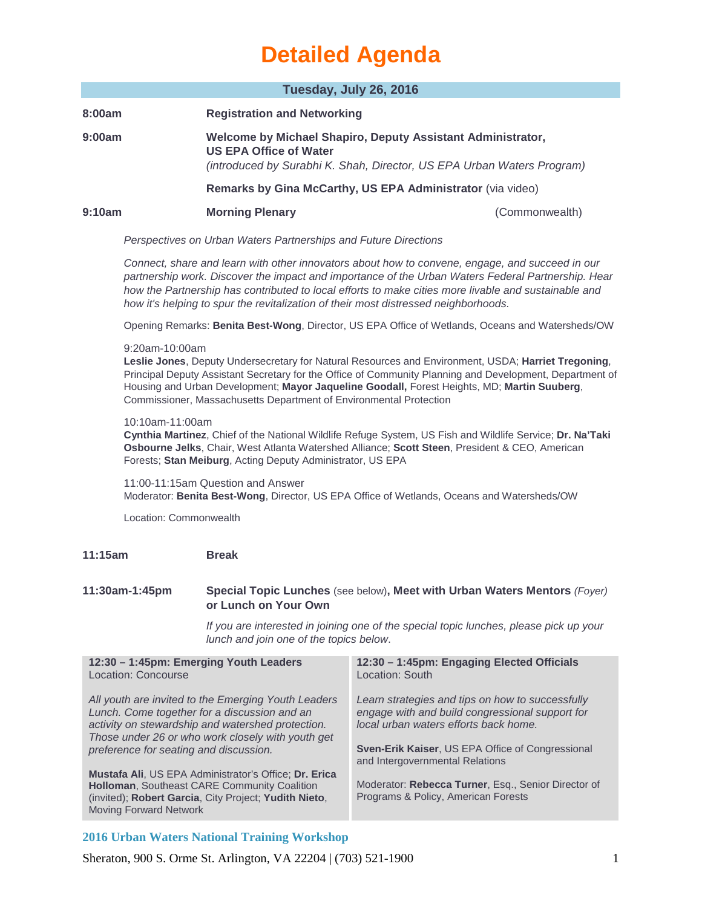| Tuesday, July 26, 2016                                                                                                                                                                                                                                                                                                                                                                                 |                                                                                                                                      |                                                                                                                                                                                                                                     |  |  |
|--------------------------------------------------------------------------------------------------------------------------------------------------------------------------------------------------------------------------------------------------------------------------------------------------------------------------------------------------------------------------------------------------------|--------------------------------------------------------------------------------------------------------------------------------------|-------------------------------------------------------------------------------------------------------------------------------------------------------------------------------------------------------------------------------------|--|--|
|                                                                                                                                                                                                                                                                                                                                                                                                        |                                                                                                                                      |                                                                                                                                                                                                                                     |  |  |
| 8:00am                                                                                                                                                                                                                                                                                                                                                                                                 | <b>Registration and Networking</b>                                                                                                   |                                                                                                                                                                                                                                     |  |  |
| 9:00am                                                                                                                                                                                                                                                                                                                                                                                                 | <b>US EPA Office of Water</b>                                                                                                        | Welcome by Michael Shapiro, Deputy Assistant Administrator,                                                                                                                                                                         |  |  |
|                                                                                                                                                                                                                                                                                                                                                                                                        | (introduced by Surabhi K. Shah, Director, US EPA Urban Waters Program)<br>Remarks by Gina McCarthy, US EPA Administrator (via video) |                                                                                                                                                                                                                                     |  |  |
|                                                                                                                                                                                                                                                                                                                                                                                                        |                                                                                                                                      |                                                                                                                                                                                                                                     |  |  |
| 9:10am                                                                                                                                                                                                                                                                                                                                                                                                 | <b>Morning Plenary</b>                                                                                                               | (Commonwealth)                                                                                                                                                                                                                      |  |  |
| Perspectives on Urban Waters Partnerships and Future Directions                                                                                                                                                                                                                                                                                                                                        |                                                                                                                                      |                                                                                                                                                                                                                                     |  |  |
| Connect, share and learn with other innovators about how to convene, engage, and succeed in our<br>partnership work. Discover the impact and importance of the Urban Waters Federal Partnership. Hear<br>how the Partnership has contributed to local efforts to make cities more livable and sustainable and<br>how it's helping to spur the revitalization of their most distressed neighborhoods.   |                                                                                                                                      |                                                                                                                                                                                                                                     |  |  |
|                                                                                                                                                                                                                                                                                                                                                                                                        | Opening Remarks: Benita Best-Wong, Director, US EPA Office of Wetlands, Oceans and Watersheds/OW                                     |                                                                                                                                                                                                                                     |  |  |
| 9:20am-10:00am<br>Leslie Jones, Deputy Undersecretary for Natural Resources and Environment, USDA; Harriet Tregoning,<br>Principal Deputy Assistant Secretary for the Office of Community Planning and Development, Department of<br>Housing and Urban Development; Mayor Jaqueline Goodall, Forest Heights, MD; Martin Suuberg,<br>Commissioner, Massachusetts Department of Environmental Protection |                                                                                                                                      |                                                                                                                                                                                                                                     |  |  |
| 10:10am-11:00am<br>Cynthia Martinez, Chief of the National Wildlife Refuge System, US Fish and Wildlife Service; Dr. Na'Taki<br>Osbourne Jelks, Chair, West Atlanta Watershed Alliance; Scott Steen, President & CEO, American<br>Forests; Stan Meiburg, Acting Deputy Administrator, US EPA                                                                                                           |                                                                                                                                      |                                                                                                                                                                                                                                     |  |  |
| 11:00-11:15am Question and Answer<br>Moderator: Benita Best-Wong, Director, US EPA Office of Wetlands, Oceans and Watersheds/OW                                                                                                                                                                                                                                                                        |                                                                                                                                      |                                                                                                                                                                                                                                     |  |  |
| Location: Commonwealth                                                                                                                                                                                                                                                                                                                                                                                 |                                                                                                                                      |                                                                                                                                                                                                                                     |  |  |
| 11:15am                                                                                                                                                                                                                                                                                                                                                                                                | <b>Break</b>                                                                                                                         |                                                                                                                                                                                                                                     |  |  |
| 11:30am-1:45pm                                                                                                                                                                                                                                                                                                                                                                                         | or Lunch on Your Own                                                                                                                 | Special Topic Lunches (see below), Meet with Urban Waters Mentors (Foyer)                                                                                                                                                           |  |  |
|                                                                                                                                                                                                                                                                                                                                                                                                        | lunch and join one of the topics below.                                                                                              | If you are interested in joining one of the special topic lunches, please pick up your                                                                                                                                              |  |  |
| 12:30 - 1:45pm: Emerging Youth Leaders<br>Location: Concourse                                                                                                                                                                                                                                                                                                                                          |                                                                                                                                      | 12:30 - 1:45pm: Engaging Elected Officials<br>Location: South                                                                                                                                                                       |  |  |
| All youth are invited to the Emerging Youth Leaders<br>Lunch. Come together for a discussion and an<br>activity on stewardship and watershed protection.<br>Those under 26 or who work closely with youth get<br>preference for seating and discussion.                                                                                                                                                |                                                                                                                                      | Learn strategies and tips on how to successfully<br>engage with and build congressional support for<br>local urban waters efforts back home.<br>Sven-Erik Kaiser, US EPA Office of Congressional<br>and Intergovernmental Relations |  |  |
| Mustafa Ali, US EPA Administrator's Office; Dr. Erica<br>Holloman, Southeast CARE Community Coalition<br>(invited); Robert Garcia, City Project; Yudith Nieto,<br><b>Moving Forward Network</b>                                                                                                                                                                                                        |                                                                                                                                      | Moderator: Rebecca Turner, Esq., Senior Director of<br>Programs & Policy, American Forests                                                                                                                                          |  |  |

## **2016 Urban Waters National Training Workshop**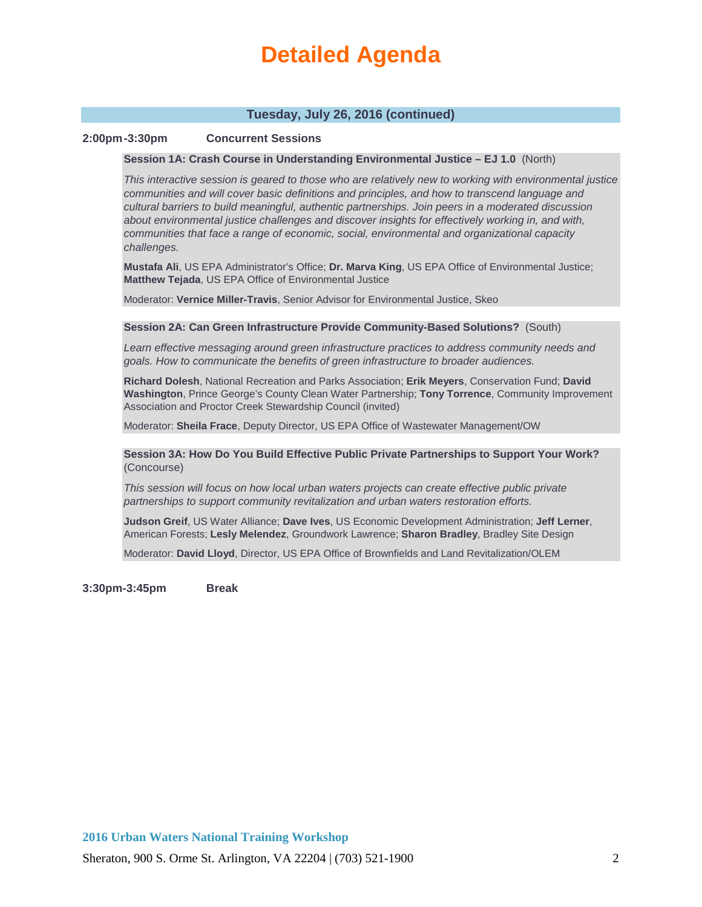## **Tuesday, July 26, 2016 (continued)**

## **2:00pm-3:30pm Concurrent Sessions**

#### **Session 1A: Crash Course in Understanding Environmental Justice – EJ 1.0** (North)

*This interactive session is geared to those who are relatively new to working with environmental justice communities and will cover basic definitions and principles, and how to transcend language and cultural barriers to build meaningful, authentic partnerships. Join peers in a moderated discussion about environmental justice challenges and discover insights for effectively working in, and with, communities that face a range of economic, social, environmental and organizational capacity challenges.*

**Mustafa Ali**, US EPA Administrator's Office; **Dr. Marva King**, US EPA Office of Environmental Justice; **Matthew Tejada**, US EPA Office of Environmental Justice

Moderator: **Vernice Miller-Travis**, Senior Advisor for Environmental Justice, Skeo

#### **Session 2A: Can Green Infrastructure Provide Community-Based Solutions?** (South)

*Learn effective messaging around green infrastructure practices to address community needs and goals. How to communicate the benefits of green infrastructure to broader audiences.* 

**Richard Dolesh**, National Recreation and Parks Association; **Erik Meyers**, Conservation Fund; **David Washington**, Prince George's County Clean Water Partnership; **Tony Torrence**, Community Improvement Association and Proctor Creek Stewardship Council (invited)

Moderator: **Sheila Frace**, Deputy Director, US EPA Office of Wastewater Management/OW

**Session 3A: How Do You Build Effective Public Private Partnerships to Support Your Work?** (Concourse)

*This session will focus on how local urban waters projects can create effective public private partnerships to support community revitalization and urban waters restoration efforts.* 

**Judson Greif**, US Water Alliance; **Dave Ives**, US Economic Development Administration; **Jeff Lerner**, American Forests; **Lesly Melendez**, Groundwork Lawrence; **Sharon Bradley**, Bradley Site Design

Moderator: **David Lloyd**, Director, US EPA Office of Brownfields and Land Revitalization/OLEM

**3:30pm-3:45pm Break**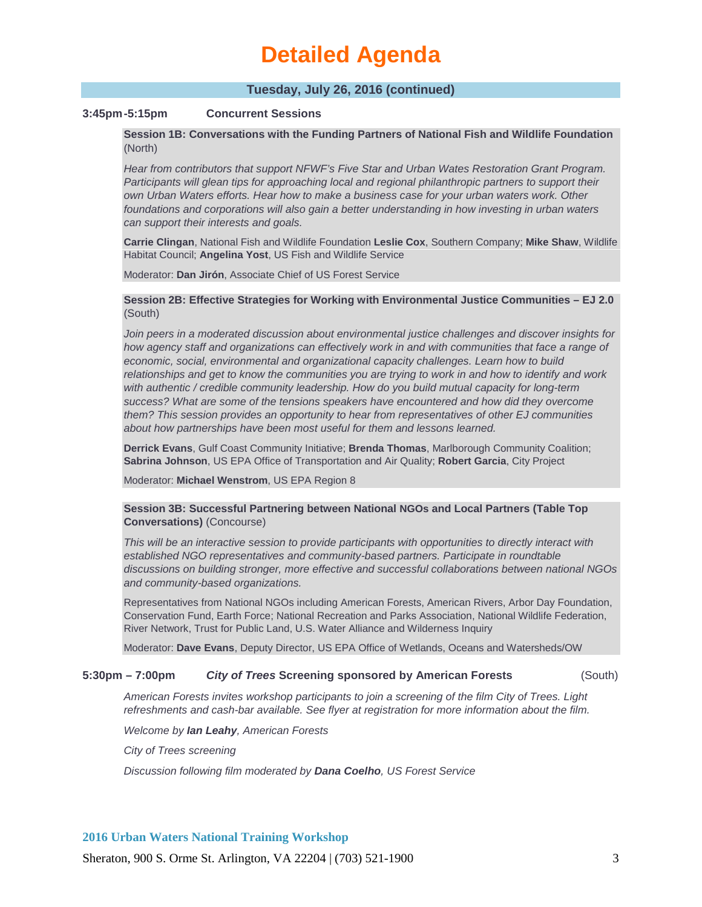## **Tuesday, July 26, 2016 (continued)**

## **3:45pm-5:15pm Concurrent Sessions**

**Session 1B: Conversations with the Funding Partners of National Fish and Wildlife Foundation**  (North)

*Hear from contributors that support NFWF's Five Star and Urban Wates Restoration Grant Program.*  Participants will glean tips for approaching local and regional philanthropic partners to support their *own Urban Waters efforts. Hear how to make a business case for your urban waters work. Other foundations and corporations will also gain a better understanding in how investing in urban waters can support their interests and goals.* 

**Carrie Clingan**, National Fish and Wildlife Foundation **Leslie Cox**, Southern Company; **Mike Shaw**, Wildlife Habitat Council; **Angelina Yost**, US Fish and Wildlife Service

Moderator: **Dan Jirón**, Associate Chief of US Forest Service

## **Session 2B: Effective Strategies for Working with Environmental Justice Communities – EJ 2.0**  (South)

*Join peers in a moderated discussion about environmental justice challenges and discover insights for*  how agency staff and organizations can effectively work in and with communities that face a range of *economic, social, environmental and organizational capacity challenges. Learn how to build relationships and get to know the communities you are trying to work in and how to identify and work with authentic / credible community leadership. How do you build mutual capacity for long-term success? What are some of the tensions speakers have encountered and how did they overcome them? This session provides an opportunity to hear from representatives of other EJ communities about how partnerships have been most useful for them and lessons learned.* 

**Derrick Evans**, Gulf Coast Community Initiative; **Brenda Thomas**, Marlborough Community Coalition; **Sabrina Johnson**, US EPA Office of Transportation and Air Quality; **Robert Garcia**, City Project

Moderator: **Michael Wenstrom**, US EPA Region 8

#### **Session 3B: Successful Partnering between National NGOs and Local Partners (Table Top Conversations)** (Concourse)

*This will be an interactive session to provide participants with opportunities to directly interact with established NGO representatives and community-based partners. Participate in roundtable discussions on building stronger, more effective and successful collaborations between national NGOs and community-based organizations.*

Representatives from National NGOs including American Forests, American Rivers, Arbor Day Foundation, Conservation Fund, Earth Force; National Recreation and Parks Association, National Wildlife Federation, River Network, Trust for Public Land, U.S. Water Alliance and Wilderness Inquiry

Moderator: **Dave Evans**, Deputy Director, US EPA Office of Wetlands, Oceans and Watersheds/OW

#### **5:30pm – 7:00pm** *City of Trees* **Screening sponsored by American Forests** (South)

*American Forests invites workshop participants to join a screening of the film City of Trees. Light refreshments and cash-bar available. See flyer at registration for more information about the film.* 

*Welcome by Ian Leahy, American Forests*

*City of Trees screening*

*Discussion following film moderated by Dana Coelho, US Forest Service*

#### **2016 Urban Waters National Training Workshop**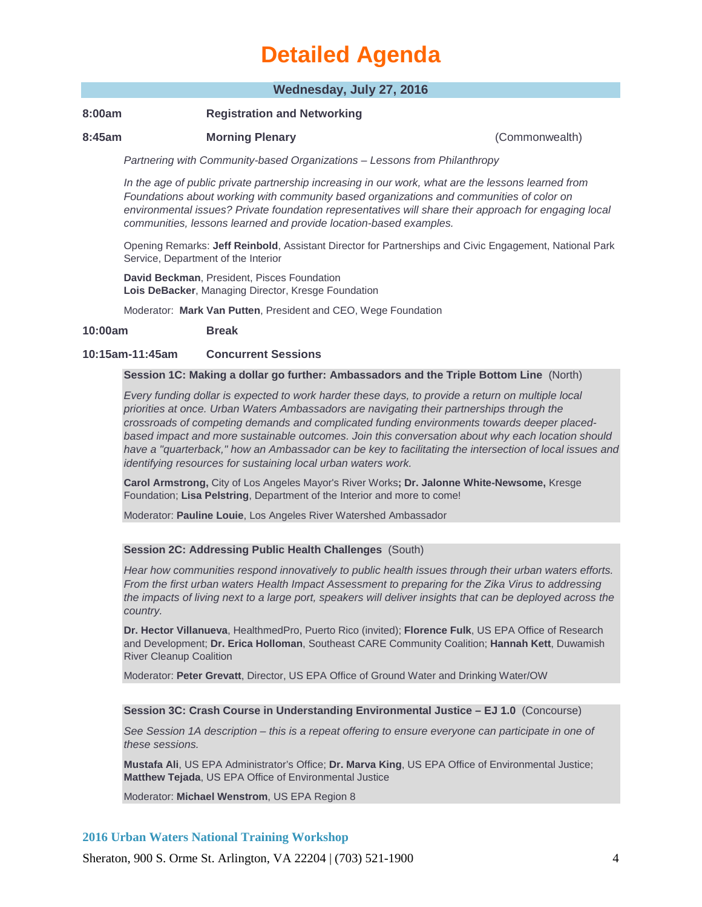## **Wednesday, July 27, 2016**

## **8:00am Registration and Networking**

### **8:45am Morning Plenary** (Commonwealth)

*Partnering with Community-based Organizations – Lessons from Philanthropy* 

*In the age of public private partnership increasing in our work, what are the lessons learned from Foundations about working with community based organizations and communities of color on environmental issues? Private foundation representatives will share their approach for engaging local communities, lessons learned and provide location-based examples.* 

Opening Remarks: **Jeff Reinbold**, Assistant Director for Partnerships and Civic Engagement, National Park Service, Department of the Interior

**David Beckman**, President, Pisces Foundation **Lois DeBacker**, Managing Director, Kresge Foundation

Moderator: **Mark Van Putten**, President and CEO, Wege Foundation

#### **10:00am Break**

#### **10:15am-11:45am Concurrent Sessions**

#### **Session 1C: Making a dollar go further: Ambassadors and the Triple Bottom Line** (North)

*Every funding dollar is expected to work harder these days, to provide a return on multiple local priorities at once. Urban Waters Ambassadors are navigating their partnerships through the crossroads of competing demands and complicated funding environments towards deeper placedbased impact and more sustainable outcomes. Join this conversation about why each location should have a "quarterback," how an Ambassador can be key to facilitating the intersection of local issues and identifying resources for sustaining local urban waters work.* 

**Carol Armstrong,** City of Los Angeles Mayor's River Works**; Dr. Jalonne White-Newsome,** Kresge Foundation; **Lisa Pelstring**, Department of the Interior and more to come!

Moderator: **Pauline Louie**, Los Angeles River Watershed Ambassador

#### **Session 2C: Addressing Public Health Challenges** (South)

*Hear how communities respond innovatively to public health issues through their urban waters efforts. From the first urban waters Health Impact Assessment to preparing for the Zika Virus to addressing the impacts of living next to a large port, speakers will deliver insights that can be deployed across the country.*

**Dr. Hector Villanueva**, HealthmedPro, Puerto Rico (invited); **Florence Fulk**, US EPA Office of Research and Development; **Dr. Erica Holloman**, Southeast CARE Community Coalition; **Hannah Kett**, Duwamish River Cleanup Coalition

Moderator: **Peter Grevatt**, Director, US EPA Office of Ground Water and Drinking Water/OW

#### **Session 3C: Crash Course in Understanding Environmental Justice – EJ 1.0** (Concourse)

*See Session 1A description – this is a repeat offering to ensure everyone can participate in one of these sessions.* 

**Mustafa Ali**, US EPA Administrator's Office; **Dr. Marva King**, US EPA Office of Environmental Justice; **Matthew Tejada**, US EPA Office of Environmental Justice

Moderator: **Michael Wenstrom**, US EPA Region 8

### **2016 Urban Waters National Training Workshop**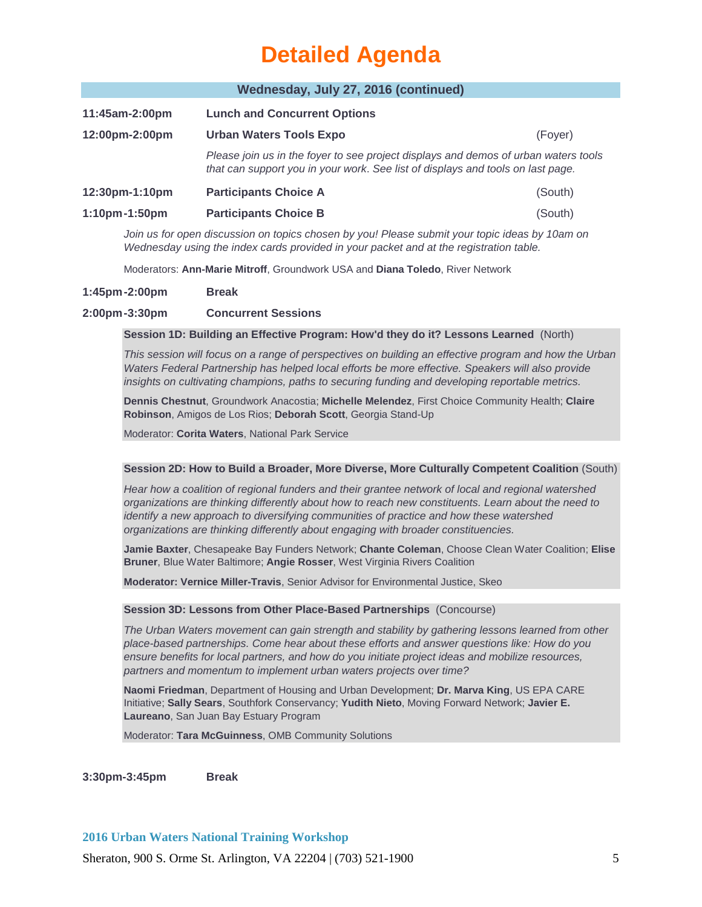### **Wednesday, July 27, 2016 (continued)**

| 11:45am-2:00pm       | <b>Lunch and Concurrent Options</b>                                                                                                                                    |         |
|----------------------|------------------------------------------------------------------------------------------------------------------------------------------------------------------------|---------|
| 12:00pm-2:00pm       | <b>Urban Waters Tools Expo</b>                                                                                                                                         | (Fover) |
|                      | Please join us in the foyer to see project displays and demos of urban waters tools<br>that can support you in your work. See list of displays and tools on last page. |         |
| 12:30pm-1:10pm       | <b>Participants Choice A</b>                                                                                                                                           | (South) |
| $1:10$ pm $-1:50$ pm | <b>Participants Choice B</b>                                                                                                                                           | (South) |

*Join us for open discussion on topics chosen by you! Please submit your topic ideas by 10am on Wednesday using the index cards provided in your packet and at the registration table.* 

Moderators: **Ann-Marie Mitroff**, Groundwork USA and **Diana Toledo**, River Network

## **1:45pm-2:00pm Break**

## **2:00pm-3:30pm Concurrent Sessions**

**Session 1D: Building an Effective Program: How'd they do it? Lessons Learned** (North)

*This session will focus on a range of perspectives on building an effective program and how the Urban*  Waters Federal Partnership has helped local efforts be more effective. Speakers will also provide *insights on cultivating champions, paths to securing funding and developing reportable metrics.* 

**Dennis Chestnut**, Groundwork Anacostia; **Michelle Melendez**, First Choice Community Health; **Claire Robinson**, Amigos de Los Rios; **Deborah Scott**, Georgia Stand-Up

Moderator: **Corita Waters**, National Park Service

#### **Session 2D: How to Build a Broader, More Diverse, More Culturally Competent Coalition** (South)

*Hear how a coalition of regional funders and their grantee network of local and regional watershed organizations are thinking differently about how to reach new constituents. Learn about the need to identify a new approach to diversifying communities of practice and how these watershed organizations are thinking differently about engaging with broader constituencies.*

**Jamie Baxter**, Chesapeake Bay Funders Network; **Chante Coleman**, Choose Clean Water Coalition; **Elise Bruner**, Blue Water Baltimore; **Angie Rosser**, West Virginia Rivers Coalition

**Moderator: Vernice Miller-Travis**, Senior Advisor for Environmental Justice, Skeo

#### **Session 3D: Lessons from Other Place-Based Partnerships** (Concourse)

*The Urban Waters movement can gain strength and stability by gathering lessons learned from other place-based partnerships. Come hear about these efforts and answer questions like: How do you ensure benefits for local partners, and how do you initiate project ideas and mobilize resources, partners and momentum to implement urban waters projects over time?*

**Naomi Friedman**, Department of Housing and Urban Development; **Dr. Marva King**, US EPA CARE Initiative; **Sally Sears**, Southfork Conservancy; **Yudith Nieto**, Moving Forward Network; **Javier E. Laureano**, San Juan Bay Estuary Program

Moderator: **Tara McGuinness**, OMB Community Solutions

**3:30pm-3:45pm Break**

**2016 Urban Waters National Training Workshop**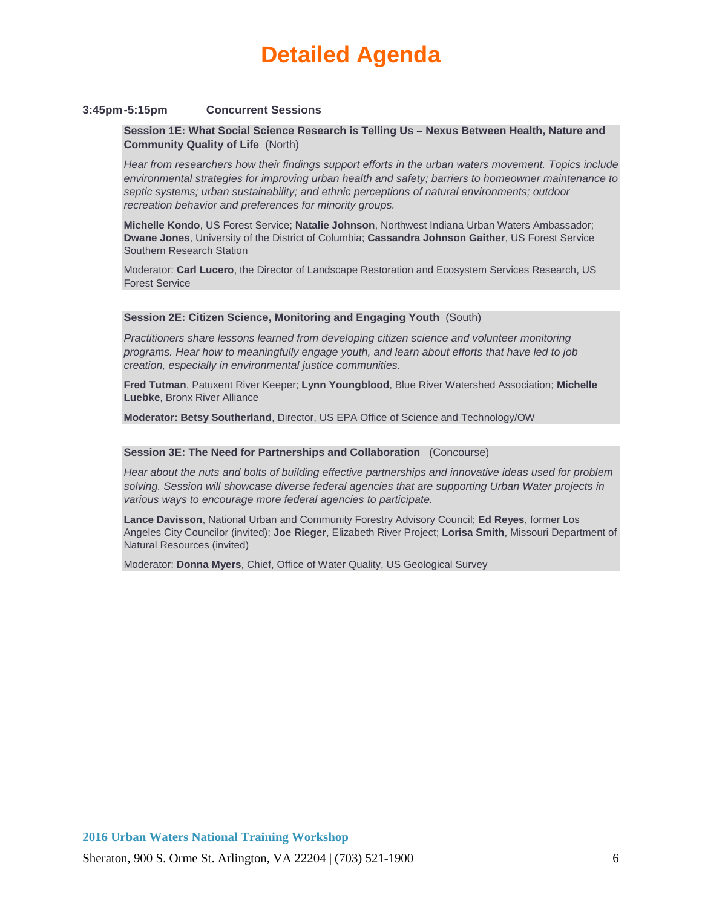#### **3:45pm-5:15pm Concurrent Sessions**

**Session 1E: What Social Science Research is Telling Us – Nexus Between Health, Nature and Community Quality of Life** (North)

*Hear from researchers how their findings support efforts in the urban waters movement. Topics include environmental strategies for improving urban health and safety; barriers to homeowner maintenance to septic systems; urban sustainability; and ethnic perceptions of natural environments; outdoor recreation behavior and preferences for minority groups.* 

**Michelle Kondo**, US Forest Service; **Natalie Johnson**, Northwest Indiana Urban Waters Ambassador; **Dwane Jones**, University of the District of Columbia; **Cassandra Johnson Gaither**, US Forest Service Southern Research Station

Moderator: **Carl Lucero**, the Director of Landscape Restoration and Ecosystem Services Research, US Forest Service

#### **Session 2E: Citizen Science, Monitoring and Engaging Youth** (South)

*Practitioners share lessons learned from developing citizen science and volunteer monitoring programs. Hear how to meaningfully engage youth, and learn about efforts that have led to job creation, especially in environmental justice communities.* 

**Fred Tutman**, Patuxent River Keeper; **Lynn Youngblood**, Blue River Watershed Association; **Michelle Luebke**, Bronx River Alliance

**Moderator: Betsy Southerland**, Director, US EPA Office of Science and Technology/OW

#### **Session 3E: The Need for Partnerships and Collaboration** (Concourse)

*Hear about the nuts and bolts of building effective partnerships and innovative ideas used for problem solving. Session will showcase diverse federal agencies that are supporting Urban Water projects in various ways to encourage more federal agencies to participate.* 

**Lance Davisson**, National Urban and Community Forestry Advisory Council; **Ed Reyes**, former Los Angeles City Councilor (invited); **Joe Rieger**, Elizabeth River Project; **Lorisa Smith**, Missouri Department of Natural Resources (invited)

Moderator: **Donna Myers**, Chief, Office of Water Quality, US Geological Survey